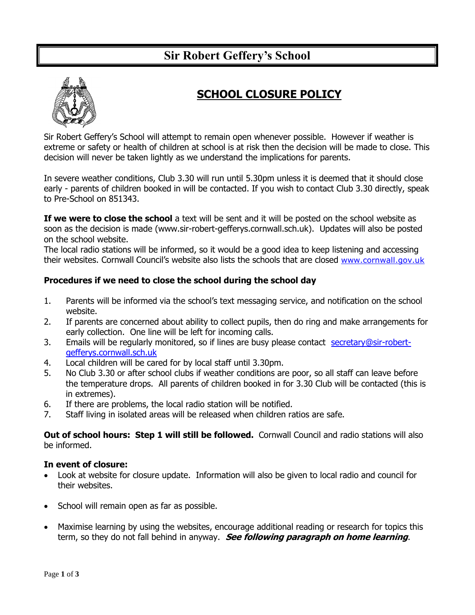# **Sir Robert Geffery's School**



## **SCHOOL CLOSURE POLICY**

Sir Robert Geffery's School will attempt to remain open whenever possible. However if weather is extreme or safety or health of children at school is at risk then the decision will be made to close. This decision will never be taken lightly as we understand the implications for parents.

In severe weather conditions, Club 3.30 will run until 5.30pm unless it is deemed that it should close early - parents of children booked in will be contacted. If you wish to contact Club 3.30 directly, speak to Pre-School on 851343.

**If we were to close the school** a text will be sent and it will be posted on the school website as soon as the decision is made (www.sir-robert-gefferys.cornwall.sch.uk). Updates will also be posted on the school website.

The local radio stations will be informed, so it would be a good idea to keep listening and accessing their websites. Cornwall Council's website also lists the schools that are closed [www.cornwall.gov.uk](http://www.cornwall.gov.uk/)

### **Procedures if we need to close the school during the school day**

- 1. Parents will be informed via the school's text messaging service, and notification on the school website.
- 2. If parents are concerned about ability to collect pupils, then do ring and make arrangements for early collection. One line will be left for incoming calls.
- 3. Emails will be regularly monitored, so if lines are busy please contact [secretary@sir-robert](mailto:secretary@sir-robert-gefferys.cornwall.sch.uk)[gefferys.cornwall.sch.uk](mailto:secretary@sir-robert-gefferys.cornwall.sch.uk)
- 4. Local children will be cared for by local staff until 3.30pm.
- 5. No Club 3.30 or after school clubs if weather conditions are poor, so all staff can leave before the temperature drops. All parents of children booked in for 3.30 Club will be contacted (this is in extremes).
- 6. If there are problems, the local radio station will be notified.
- 7. Staff living in isolated areas will be released when children ratios are safe.

**Out of school hours: Step 1 will still be followed.** Cornwall Council and radio stations will also be informed.

#### **In event of closure:**

- Look at website for closure update. Information will also be given to local radio and council for their websites.
- School will remain open as far as possible.
- Maximise learning by using the websites, encourage additional reading or research for topics this term, so they do not fall behind in anyway. **See following paragraph on home learning**.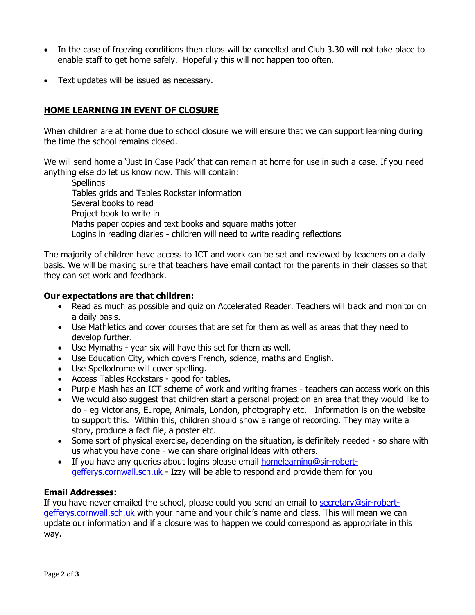- In the case of freezing conditions then clubs will be cancelled and Club 3.30 will not take place to enable staff to get home safely. Hopefully this will not happen too often.
- Text updates will be issued as necessary.

## **HOME LEARNING IN EVENT OF CLOSURE**

When children are at home due to school closure we will ensure that we can support learning during the time the school remains closed.

We will send home a 'Just In Case Pack' that can remain at home for use in such a case. If you need anything else do let us know now. This will contain:

**Spellings** Tables grids and Tables Rockstar information Several books to read Project book to write in Maths paper copies and text books and square maths jotter Logins in reading diaries - children will need to write reading reflections

The majority of children have access to ICT and work can be set and reviewed by teachers on a daily basis. We will be making sure that teachers have email contact for the parents in their classes so that they can set work and feedback.

#### **Our expectations are that children:**

- Read as much as possible and quiz on Accelerated Reader. Teachers will track and monitor on a daily basis.
- Use Mathletics and cover courses that are set for them as well as areas that they need to develop further.
- Use Mymaths year six will have this set for them as well.
- Use Education City, which covers French, science, maths and English.
- Use Spellodrome will cover spelling.
- Access Tables Rockstars good for tables.
- Purple Mash has an ICT scheme of work and writing frames teachers can access work on this
- We would also suggest that children start a personal project on an area that they would like to do - eg Victorians, Europe, Animals, London, photography etc. Information is on the website to support this. Within this, children should show a range of recording. They may write a story, produce a fact file, a poster etc.
- Some sort of physical exercise, depending on the situation, is definitely needed so share with us what you have done - we can share original ideas with others.
- If you have any queries about logins please email [homelearning@sir-robert](mailto:homelearning@sir-robert-gefferys.cornwall.sch.uk)[gefferys.cornwall.sch.uk](mailto:homelearning@sir-robert-gefferys.cornwall.sch.uk) - Izzy will be able to respond and provide them for you

#### **Email Addresses:**

If you have never emailed the school, please could you send an email to [secretary@sir-robert](mailto:secretary@sir-robert-gefferys.cornwall.sch.uk)[gefferys.cornwall.sch.uk](mailto:secretary@sir-robert-gefferys.cornwall.sch.uk) with your name and your child's name and class. This will mean we can update our information and if a closure was to happen we could correspond as appropriate in this way.